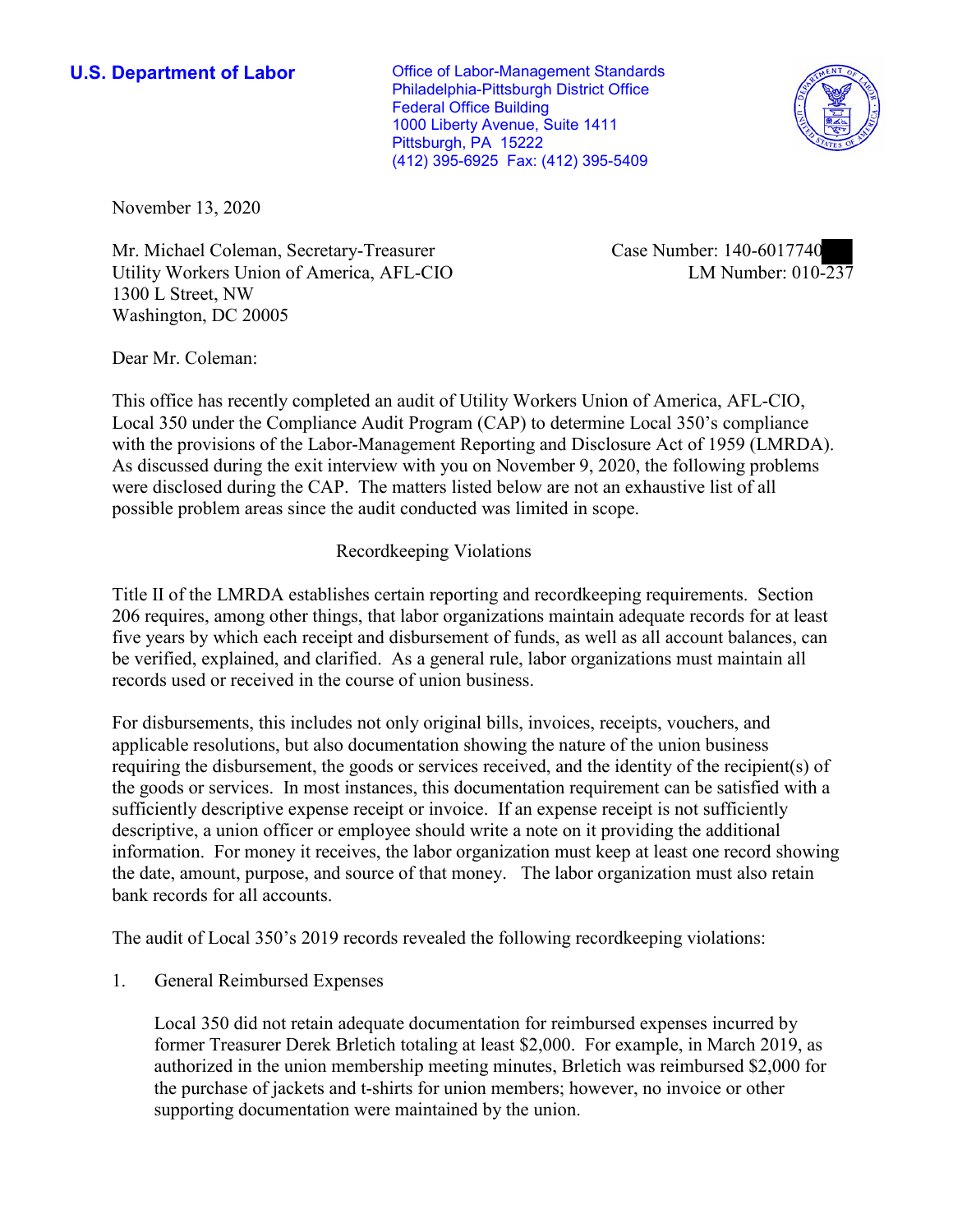**U.S. Department of Labor Conservative Conservative Conservative U.S. Department of Labor** Philadelphia-Pittsburgh District Office Federal Office Building 1000 Liberty Avenue, Suite 1411 Pittsburgh, PA 15222 (412) 395-6925 Fax: (412) 395-5409



November 13, 2020

Mr. Michael Coleman, Secretary-Treasurer Case Number: 140-6017740 Utility Workers Union of America, AFL-CIO LM Number: 010-237 1300 L Street, NW Washington, DC 20005

■

Dear Mr. Coleman:

 This office has recently completed an audit of Utility Workers Union of America, AFL-CIO, Local 350 under the Compliance Audit Program (CAP) to determine Local 350's compliance possible problem areas since the audit conducted was limited in scope. Recordkeeping Violations with the provisions of the Labor-Management Reporting and Disclosure Act of 1959 (LMRDA). As discussed during the exit interview with you on November 9, 2020, the following problems were disclosed during the CAP. The matters listed below are not an exhaustive list of all

 Title II of the LMRDA establishes certain reporting and recordkeeping requirements. Section 206 requires, among other things, that labor organizations maintain adequate records for at least five years by which each receipt and disbursement of funds, as well as all account balances, can be verified, explained, and clarified. As a general rule, labor organizations must maintain all records used or received in the course of union business.

For disbursements, this includes not only original bills, invoices, receipts, vouchers, and applicable resolutions, but also documentation showing the nature of the union business requiring the disbursement, the goods or services received, and the identity of the recipient(s) of the goods or services. In most instances, this documentation requirement can be satisfied with a sufficiently descriptive expense receipt or invoice. If an expense receipt is not sufficiently descriptive, a union officer or employee should write a note on it providing the additional information. For money it receives, the labor organization must keep at least one record showing the date, amount, purpose, and source of that money. The labor organization must also retain bank records for all accounts.

The audit of Local 350's 2019 records revealed the following recordkeeping violations:

1. General Reimbursed Expenses

 Local 350 did not retain adequate documentation for reimbursed expenses incurred by former Treasurer Derek Brletich totaling at least \$2,000. For example, in March 2019, as authorized in the union membership meeting minutes, Brletich was reimbursed \$2,000 for the purchase of jackets and t-shirts for union members; however, no invoice or other supporting documentation were maintained by the union.